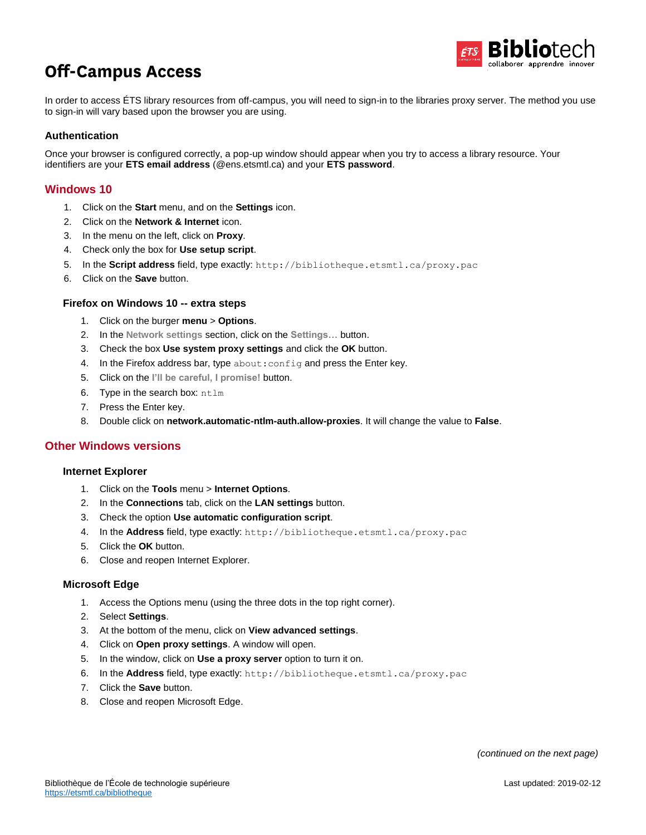

# **Off-Campus Access**

In order to access ÉTS library resources from off-campus, you will need to sign-in to the libraries proxy server. The method you use to sign-in will vary based upon the browser you are using.

# **Authentication**

Once your browser is configured correctly, a pop-up window should appear when you try to access a library resource. Your identifiers are your **ETS email address** (@ens.etsmtl.ca) and your **ETS password**.

# **Windows 10**

- 1. Click on the **Start** menu, and on the **Settings** icon.
- 2. Click on the **Network & Internet** icon.
- 3. In the menu on the left, click on **Proxy**.
- 4. Check only the box for **Use setup script**.
- 5. In the **Script address** field, type exactly: http://bibliotheque.etsmtl.ca/proxy.pac
- 6. Click on the **Save** button.

## **Firefox on Windows 10 -- extra steps**

- 1. Click on the burger **menu** > **Options**.
- 2. In the **Network settings** section, click on the **Settings…** button.
- 3. Check the box **Use system proxy settings** and click the **OK** button.
- 4. In the Firefox address bar, type about: config and press the Enter key.
- 5. Click on the **I'll be careful, I promise!** button.
- 6. Type in the search box: ntlm
- 7. Press the Enter key.
- 8. Double click on **network.automatic-ntlm-auth.allow-proxies**. It will change the value to **False**.

# **Other Windows versions**

#### **Internet Explorer**

- 1. Click on the **Tools** menu > **Internet Options**.
- 2. In the **Connections** tab, click on the **LAN settings** button.
- 3. Check the option **Use automatic configuration script**.
- 4. In the **Address** field, type exactly: http://bibliotheque.etsmtl.ca/proxy.pac
- 5. Click the **OK** button.
- 6. Close and reopen Internet Explorer.

#### **Microsoft Edge**

- 1. Access the Options menu (using the three dots in the top right corner).
- 2. Select **Settings**.
- 3. At the bottom of the menu, click on **View advanced settings**.
- 4. Click on **Open proxy settings**. A window will open.
- 5. In the window, click on **Use a proxy server** option to turn it on.
- 6. In the **Address** field, type exactly: http://bibliotheque.etsmtl.ca/proxy.pac
- 7. Click the **Save** button.
- 8. Close and reopen Microsoft Edge.

*(continued on the next page)*